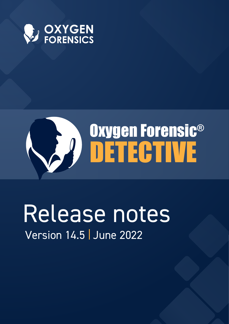

# Oxygen Forensic® DETECTIVE

# Release notes Version 14.5 June 2022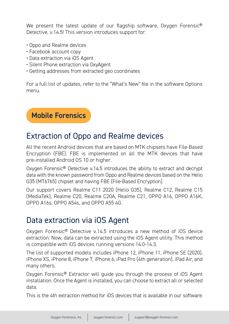We present the latest update of our flagship software, Oxygen Forensic<sup>®</sup> Detective, v.14.5! This version introduces support for:

- Oppo and Realme devices
- Facebook account copy
- Data extraction via iOS Agent
- Silent Phone extraction via OxyAgent
- Getting addresses from extracted geo coordinates

For a full list of updates, refer to the "What's New" file in the software Options menu.

Mobile Forensics

## Extraction of Oppo and Realme devices

All the recent Android devices that are based on MTK chipsets have File-Based Encryption (FBE). FBE is implemented on all the MTK devices that have pre-installed Android OS 10 or higher.

Oxygen Forensic® Detective v.14.5 introduces the ability to extract and decrypt data with the known password from Oppo and Realme devices based on the Helio G35 (MT6765) chipset and having FBE (File-Based Encryption).

Our support covers Realme C11 2020 (Helio G35), Realme C12, Realme C15 (MediaTek), Realme C20, Realme C20A, Realme C21, OPPO A16, OPPO A16K, OPPO A16s, OPPO A54s, and OPPO A55 4G.

# Data extraction via iOS Agent

Oxygen Forensic® Detective v.14.5 introduces a new method of iOS device extraction. Now, data can be extracted using the iOS Agent utility. This method is compatible with iOS devices running versions 14.0-14.3.

The list of supported models includes iPhone 12, iPhone 11, iPhone SE (2020), iPhone XS, iPhone 8, iPhone 7, iPhone 6, iPad Pro (4th generation), iPad Air, and many others.

Oxygen Forensic® Extractor will guide you through the process of iOS Agent installation. Once the Agent is installed, you can choose to extract all or selected data.

This is the 4th extraction method for iOS devices that is available in our software.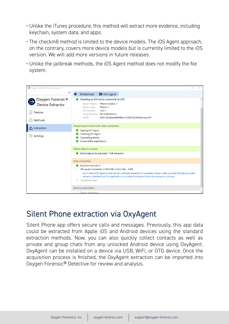- Unlike the iTunes procedure, this method will extract more evidence, including keychain, system data, and apps.
- The checkm8 method is limited to the device models. The iOS Agent approach, on the contrary, covers more device models but is currently limited to the iOS version. We will add more versions in future releases.
- Unlike the jailbreak methods, the iOS Agent method does not modify the file system.



### Silent Phone extraction via OxyAgent

Silent Phone app offers secure calls and messages. Previously, this app data could be extracted from Apple iOS and Android devices using the standard extraction methods. Now, you can also quickly collect contacts as well as private and group chats from any unlocked Android device using OxyAgent. OxyAgent can be installed on a device via USB, WiFi, or OTG device. Once the acquisition process is finished, the OxyAgent extraction can be imported into Oxygen Forensic® Detective for review and analysis.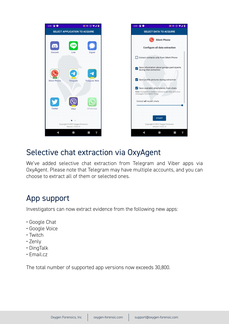

### Selective chat extraction via OxyAgent

We've added selective chat extraction from Telegram and Viber apps via OxyAgent. Please note that Telegram may have multiple accounts, and you can choose to extract all of them or selected ones.

# App support

Investigators can now extract evidence from the following new apps:

- Google Chat
- Google Voice
- Twitch
- Zenly
- DingTalk
- Email.cz

The total number of supported app versions now exceeds 30,800.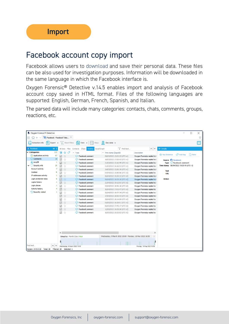# Facebook account copy import

Facebook allows users to download and save their personal data. These files can be also used for investigation purposes. Information will be downloaded in the same language in which the Facebook interface is.

Oxygen Forensic® Detective v.14.5 enables import and analysis of Facebook account copy saved in HTML format. Files of the following languages are supported: English, German, French, Spanish, and Italian.

The parsed data will include many categories: contacts, chats, comments, groups, reactions, etc.

| Oxygen Forensic® Detective                     |              |                                              |                                |                                |                                                           |                               |                                                  | $\Box$            | × |
|------------------------------------------------|--------------|----------------------------------------------|--------------------------------|--------------------------------|-----------------------------------------------------------|-------------------------------|--------------------------------------------------|-------------------|---|
| Facebook - Facebook Take                       |              |                                              |                                |                                |                                                           |                               |                                                  |                   | ₹ |
| <b>T</b><br>Export +<br><b>Extraction info</b> |              | Reset filters                                | ſ≡l<br>View +                  | $\Omega$<br>Geo data v<br>Maps |                                                           |                               |                                                  |                   | T |
| <b>f</b> <sub>n</sub> Facebook<br>$<<$ :       |              | All data Files                               | Contacts<br>Chats<br>Timeline  | Social Graph                   | $\overline{Y}$ Find text                                  | $\sim$ $\vee$                 | >> Details                                       |                   |   |
| <b>Categories</b><br>◡                         | 112          | ╔<br>⊘<br>Y.Z                                | $\vee$ Type                    | $\vee$ Time stamp (Zagreb)     |                                                           | Description                   |                                                  |                   |   |
| <b>S<sub>SN</sub></b> Applications activity    | 67           | ☑<br>T.T                                     | Facebook comment               |                                | 09/03/2022 15:02:25 (UTC+1)                               | Oxygen Forensics replied to I | Add tag<br>ንን Key Evidence                       | D <sub>Note</sub> |   |
| C Comments                                     | 18           | $\color{red}\heartsuit$<br>ŵ                 | Facebook comment               |                                | 18/03/2022 17:20:43 (UTC+1)                               | Oxygen Forensics replied to I | Source <b>Ca</b> Facebook                        |                   |   |
| An Autofill                                    | 1            | ☑<br>ŵ                                       | <b>Excebook comment</b>        |                                | 21/03/2022 15:16:49 (UTC+1)                               | Oxygen Forensics replied to ! | <b>Example 2</b> Facebook comment<br><b>Type</b> |                   |   |
| Security info                                  | 25           | $\color{red}\blacktriangledown$<br>☆         | <sup>co</sup> Facebook comment |                                | 21/03/2022 16:16:52 (UTC+1)                               | Oxygen Forensics replied to ! | Time stamp 06/04/2022 19:25:10 (UTC+2)           |                   |   |
| <b>Account activity</b>                        | 7            | Ŷ<br>☑                                       | <sup>6</sup> Facebook comment  |                                | 24/03/2022 15:06:19 (UTC+1)                               | Oxygen Forensics replied to I | <b>Text</b>                                      |                   |   |
| Cookies                                        | 6            | ŵ<br>$\color{red}\heartsuit$                 | Facebook comment<br>⊕          |                                | 04/04/2022 15:56:56 (UTC+2)                               | Oxygen Forensics replied to   | <b>URL</b>                                       |                   |   |
| IP addresses activity                          |              | $\triangledown$<br>☆                         | <sup>6</sup> Facebook comment  |                                | 06/04/2022 19:19:32 (UTC+2)                               | Oxygen Forensics replied to I |                                                  |                   |   |
| Login protection data                          | 5            | ☆<br>☑                                       | <sup>6</sup> Facebook comment  |                                | 06/04/2022 19:25:10 (UTC+2)                               | Oxygen Forensics replied to I | <b>Action</b>                                    |                   |   |
| Logins history                                 |              | ☑<br>÷                                       | <b>Excebook comment</b>        |                                | 21/04/2022 19:12:05 (UTC+2)                               | Oxygen Forensics replied to ! |                                                  |                   |   |
| Login places                                   |              | $\overline{\smile}$<br>ŵ                     | <sup>6</sup> Facebook comment  |                                | 25/04/2022 18:56:18 (UTC+2)                               | Oxygen Forensics replied to   |                                                  |                   |   |
| <b>Activity history</b>                        |              | $\boxdot$<br>☆                               | <sup>6</sup> Facebook comment  |                                | 26/04/2022 17:02:47 (UTC+2)                               | Oxygen Forensics replied to   |                                                  |                   |   |
| <sup>*</sup> L Recently visited                |              | $\overline{\smile}$<br>☆                     | <b>Excebook comment</b>        |                                | 26/04/2022 18:57:34 (UTC+2)                               | Oxygen Forensics replied to   |                                                  |                   |   |
|                                                |              | ☑<br>☆                                       | <b>Excebook comment</b>        |                                | 27/04/2022 18:50:43 (UTC+2)                               | Oxygen Forensics replied to ! |                                                  |                   |   |
|                                                |              | ☆<br>$\overline{\smile}$                     | <sup>6</sup> Facebook comment  |                                | 28/04/2022 18:14:09 (UTC+2)                               | Oxygen Forensics replied to   |                                                  |                   |   |
|                                                |              | *<br>$\triangledown$                         | Facebook comment               |                                | 05/05/2022 16:28:01 (UTC+2)                               | Oxygen Forensics replied to   |                                                  |                   |   |
|                                                |              | ☆<br>$\color{red}\heartsuit$                 | <b>Excebook comment</b>        |                                | 06/05/2022 17:45:17 (UTC+2)                               | Oxygen Forensics replied to   |                                                  |                   |   |
|                                                |              | ☆<br>☑                                       | Facebook comment               |                                | 12/05/2022 19:35:30 (UTC+2)                               | Oxygen Forensics replied to   |                                                  |                   |   |
|                                                |              | ☆<br>$\checkmark$                            | <b>Excebook comment</b>        |                                | 16/05/2022 16:55:02 (UTC+2)                               | Oxygen Forensics replied to   |                                                  |                   |   |
|                                                |              | $\checkmark$<br>Group by: Month   Day   Hour |                                |                                | Wednesday, 9 March 2022 15:00 - Monday, 16 May 2022 16:59 | $\rightarrow$<br>$\times$     |                                                  |                   |   |
| Find text<br>$\hat{\phantom{a}}$               | $\checkmark$ | Wednesday, 9 March 2022 15:00                |                                |                                |                                                           | Monday, 16 May 2022 16:59     |                                                  |                   |   |
| Version: 14.5.0.22<br>Total: 18                | Filtered: 18 | Selected: 1                                  |                                |                                |                                                           |                               |                                                  |                   |   |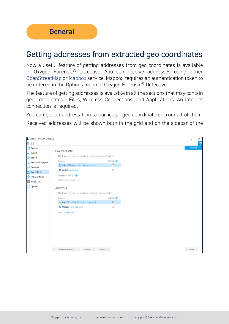### Getting addresses from extracted geo coordinates

Now a useful feature of getting addresses from geo coordinates is available in Oxygen Forensic® Detective. You can receive addresses using either OpenStreetMap or Mapbox service. Mapbox requires an authentication token to be entered in the Options menu of Oxygen Forensic® Detective.

The feature of getting addresses is available in all the sections that may contain geo coordinates - Files, Wireless Connections, and Applications. An internet connection is required.

You can get an address from a particular geo coordinate or from all of them. Received addresses will be shown both in the grid and on the sidebar of the

| Oxygen Forensic® Detective |                                                               |                |  |  |  |  |  |
|----------------------------|---------------------------------------------------------------|----------------|--|--|--|--|--|
| 仞<br>Ξ                     |                                                               |                |  |  |  |  |  |
| @ General                  |                                                               |                |  |  |  |  |  |
| Q Search                   | Geo coordinates                                               |                |  |  |  |  |  |
| $\Box$ Import              | Third-party services for acquiring coordinates by MAC-address |                |  |  |  |  |  |
| Advanced analytics         | Service                                                       | Default (1)    |  |  |  |  |  |
| ₩<br>Contacts              | Latent Wireless (latentwireless.com)                          | $\circ$        |  |  |  |  |  |
| <b>Q</b> Geo settings      | WiGLE (wigle.net)                                             | $\circledcirc$ |  |  |  |  |  |
| ⊕<br>Proxy settings        | Authentication key (i)                                        |                |  |  |  |  |  |
| Project VIC                | Enter authentication key                                      |                |  |  |  |  |  |
| Updates                    |                                                               |                |  |  |  |  |  |
|                            | <b>Addresses</b>                                              |                |  |  |  |  |  |
|                            | Third-party services for acquiring addresses by coordinates   |                |  |  |  |  |  |
|                            | Service                                                       | Default (1)    |  |  |  |  |  |
|                            | OpenStreetMap (openstreetmap.org)                             | $\odot$        |  |  |  |  |  |
|                            | MapBox (mapbox.com)                                           | $\bigcirc$     |  |  |  |  |  |
|                            | <b>Check connection</b>                                       |                |  |  |  |  |  |
|                            |                                                               |                |  |  |  |  |  |
|                            |                                                               |                |  |  |  |  |  |
|                            |                                                               |                |  |  |  |  |  |
|                            |                                                               |                |  |  |  |  |  |
|                            |                                                               |                |  |  |  |  |  |
|                            |                                                               |                |  |  |  |  |  |
|                            |                                                               |                |  |  |  |  |  |
|                            | Restore defaults<br>Import                                    | Export         |  |  |  |  |  |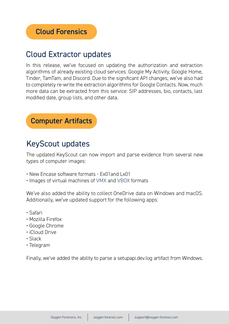# Cloud Extractor updates

In this release, we've focused on updating the authorization and extraction algorithms of already existing cloud services: Google My Activity, Google Home, Tinder, TamTam, and Discord. Due to the significant API changes, we've also had to completely re-write the extraction algorithms for Google Contacts. Now, much more data can be extracted from this service: SIP addresses, bio, contacts, last modified date, group lists, and other data.



# KeyScout updates

The updated KeyScout can now import and parse evidence from several new types of computer images:

- New Encase software formats Ex01 and Lx01
- Images of virtual machines of VMX and VBOX formats

We've also added the ability to collect OneDrive data on Windows and macOS. Additionally, we've updated support for the following apps:

- Safari
- Mozilla Firefox
- Google Chrome
- iCloud Drive
- Slack
- Telegram

Finally, we've added the ability to parse a setupapi.dev.log artifact from Windows.